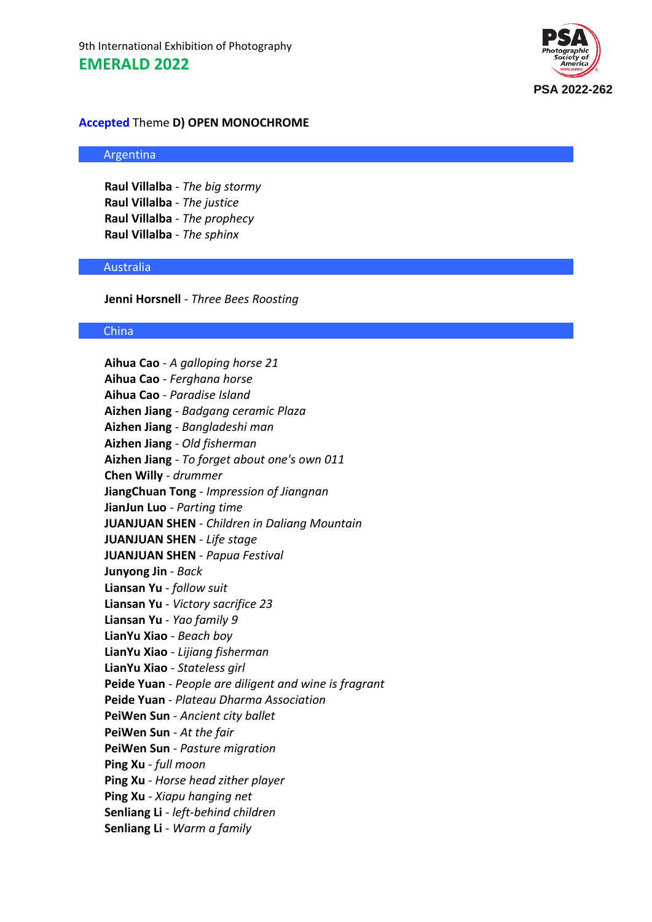

### **Accepted** Theme **D) OPEN MONOCHROME**

#### Argentina

**Raul Villalba** - *The big stormy* **Raul Villalba** - *The justice* **Raul Villalba** - *The prophecy* **Raul Villalba** - *The sphinx*

#### Australia

**Jenni Horsnell** - *Three Bees Roosting*

# China

**Aihua Cao** - *A galloping horse 21* **Aihua Cao** - *Ferghana horse* **Aihua Cao** - *Paradise Island* **Aizhen Jiang** - *Badgang ceramic Plaza* **Aizhen Jiang** - *Bangladeshi man* **Aizhen Jiang** - *Old fisherman* **Aizhen Jiang** - *To forget about one's own 011* **Chen Willy** - *drummer* **JiangChuan Tong** - *Impression of Jiangnan* **JianJun Luo** - *Parting time* **JUANJUAN SHEN** - *Children in Daliang Mountain* **JUANJUAN SHEN** - *Life stage* **JUANJUAN SHEN** - *Papua Festival* **Junyong Jin** - *Back* **Liansan Yu** - *follow suit* **Liansan Yu** - *Victory sacrifice 23* **Liansan Yu** - *Yao family 9* **LianYu Xiao** - *Beach boy* **LianYu Xiao** - *Lijiang fisherman* **LianYu Xiao** - *Stateless girl* **Peide Yuan** - *People are diligent and wine is fragrant* **Peide Yuan** - *Plateau Dharma Association* **PeiWen Sun** - *Ancient city ballet* **PeiWen Sun** - *At the fair* **PeiWen Sun** - *Pasture migration* **Ping Xu** - *full moon* **Ping Xu** - *Horse head zither player* **Ping Xu** - *Xiapu hanging net* **Senliang Li** - *left-behind children* **Senliang Li** - *Warm a family*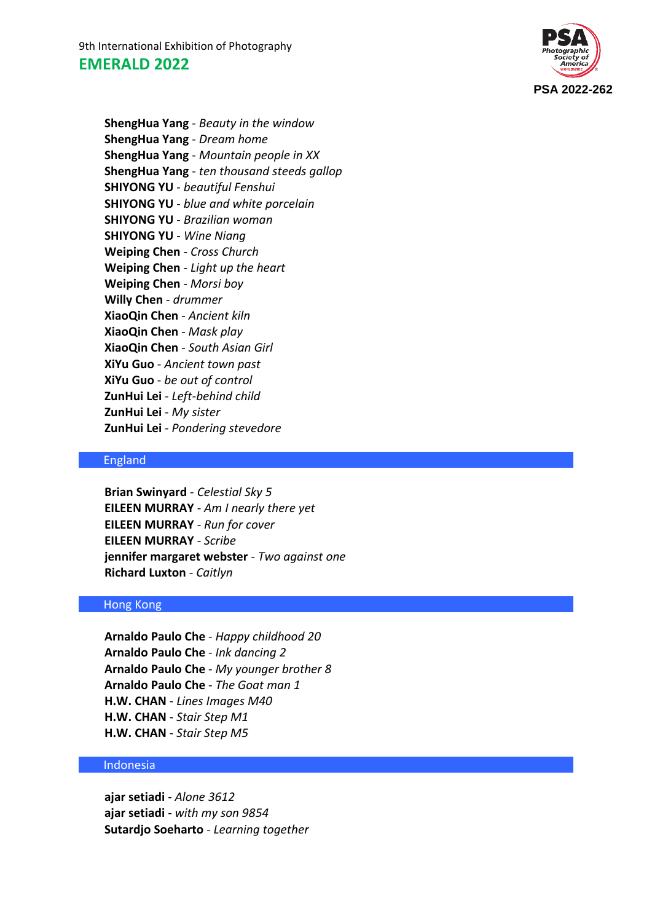9th International Exhibition of Photography **EMERALD 2022**



**ShengHua Yang** - *Beauty in the window* **ShengHua Yang** - *Dream home* **ShengHua Yang** - *Mountain people in XX* **ShengHua Yang** - *ten thousand steeds gallop* **SHIYONG YU** - *beautiful Fenshui* **SHIYONG YU** - *blue and white porcelain* **SHIYONG YU** - *Brazilian woman* **SHIYONG YU** - *Wine Niang* **Weiping Chen** - *Cross Church* **Weiping Chen** - *Light up the heart* **Weiping Chen** - *Morsi boy* **Willy Chen** - *drummer* **XiaoQin Chen** - *Ancient kiln* **XiaoQin Chen** - *Mask play* **XiaoQin Chen** - *South Asian Girl* **XiYu Guo** - *Ancient town past* **XiYu Guo** - *be out of control* **ZunHui Lei** - *Left-behind child* **ZunHui Lei** - *My sister* **ZunHui Lei** - *Pondering stevedore*

### England

**Brian Swinyard** - *Celestial Sky 5* **EILEEN MURRAY** - *Am I nearly there yet* **EILEEN MURRAY** - *Run for cover* **EILEEN MURRAY** - *Scribe* **jennifer margaret webster** - *Two against one* **Richard Luxton** - *Caitlyn*

# Hong Kong

**Arnaldo Paulo Che** - *Happy childhood 20* **Arnaldo Paulo Che** - *Ink dancing 2* **Arnaldo Paulo Che** - *My younger brother 8* **Arnaldo Paulo Che** - *The Goat man 1* **H.W. CHAN** - *Lines Images M40* **H.W. CHAN** - *Stair Step M1* **H.W. CHAN** - *Stair Step M5*

#### Indonesia

**ajar setiadi** - *Alone 3612* **ajar setiadi** - *with my son 9854* **Sutardjo Soeharto** - *Learning together*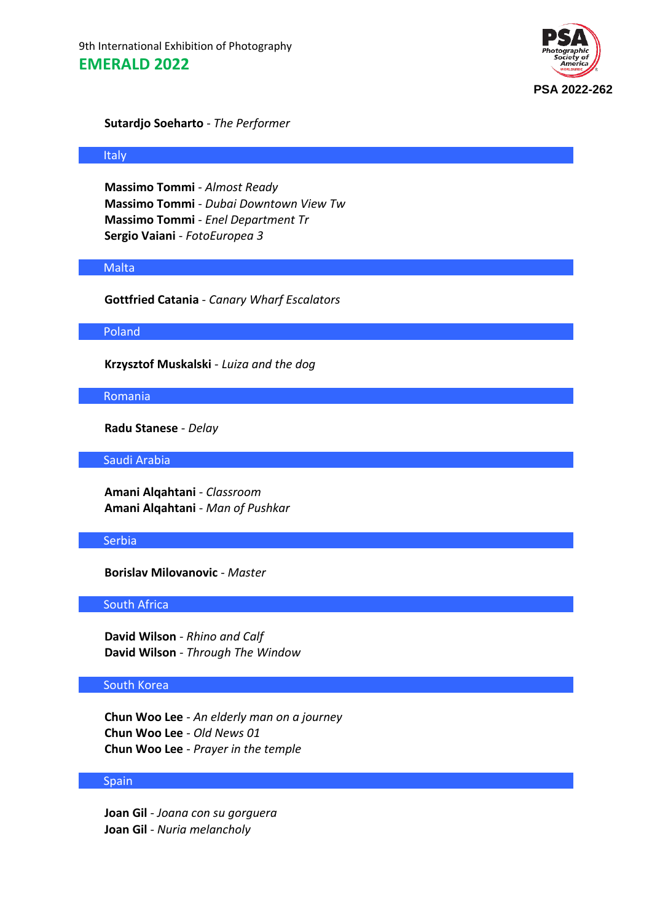9th International Exhibition of Photography **EMERALD 2022**



### **Sutardjo Soeharto** - *The Performer*

#### Italy

**Massimo Tommi** - *Almost Ready* **Massimo Tommi** - *Dubai Downtown View Tw* **Massimo Tommi** - *Enel Department Tr* **Sergio Vaiani** - *FotoEuropea 3*

#### Malta

**Gottfried Catania** - *Canary Wharf Escalators*

#### Poland

**Krzysztof Muskalski** - *Luiza and the dog*

#### Romania

**Radu Stanese** - *Delay*

Saudi Arabia

**Amani Alqahtani** - *Classroom* **Amani Alqahtani** - *Man of Pushkar*

# Serbia

**Borislav Milovanovic** - *Master*

# South Africa

**David Wilson** - *Rhino and Calf* **David Wilson** - *Through The Window*

# South Korea

**Chun Woo Lee** - *An elderly man on a journey* **Chun Woo Lee** - *Old News 01* **Chun Woo Lee** - *Prayer in the temple*

# Spain

**Joan Gil** - *Joana con su gorguera* **Joan Gil** - *Nuria melancholy*